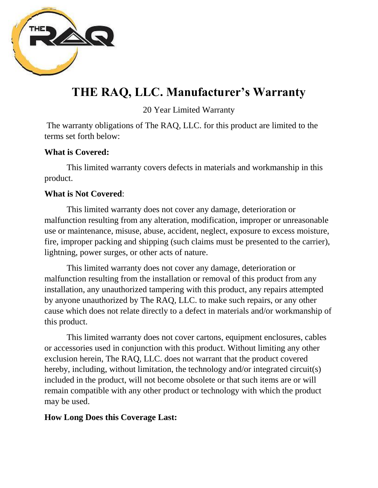

# **THE RAQ, LLC. Manufacturer's Warranty**

#### 20 Year Limited Warranty

The warranty obligations of The RAQ, LLC. for this product are limited to the terms set forth below:

#### **What is Covered:**

This limited warranty covers defects in materials and workmanship in this product.

#### **What is Not Covered**:

This limited warranty does not cover any damage, deterioration or malfunction resulting from any alteration, modification, improper or unreasonable use or maintenance, misuse, abuse, accident, neglect, exposure to excess moisture, fire, improper packing and shipping (such claims must be presented to the carrier), lightning, power surges, or other acts of nature.

This limited warranty does not cover any damage, deterioration or malfunction resulting from the installation or removal of this product from any installation, any unauthorized tampering with this product, any repairs attempted by anyone unauthorized by The RAQ, LLC. to make such repairs, or any other cause which does not relate directly to a defect in materials and/or workmanship of this product.

This limited warranty does not cover cartons, equipment enclosures, cables or accessories used in conjunction with this product. Without limiting any other exclusion herein, The RAQ, LLC. does not warrant that the product covered hereby, including, without limitation, the technology and/or integrated circuit(s) included in the product, will not become obsolete or that such items are or will remain compatible with any other product or technology with which the product may be used.

#### **How Long Does this Coverage Last:**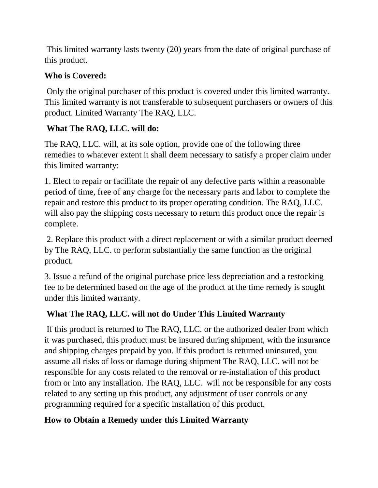This limited warranty lasts twenty (20) years from the date of original purchase of this product.

### **Who is Covered:**

Only the original purchaser of this product is covered under this limited warranty. This limited warranty is not transferable to subsequent purchasers or owners of this product. Limited Warranty The RAQ, LLC.

# **What The RAQ, LLC. will do:**

The RAQ, LLC. will, at its sole option, provide one of the following three remedies to whatever extent it shall deem necessary to satisfy a proper claim under this limited warranty:

1. Elect to repair or facilitate the repair of any defective parts within a reasonable period of time, free of any charge for the necessary parts and labor to complete the repair and restore this product to its proper operating condition. The RAQ, LLC. will also pay the shipping costs necessary to return this product once the repair is complete.

2. Replace this product with a direct replacement or with a similar product deemed by The RAQ, LLC. to perform substantially the same function as the original product.

3. Issue a refund of the original purchase price less depreciation and a restocking fee to be determined based on the age of the product at the time remedy is sought under this limited warranty.

## **What The RAQ, LLC. will not do Under This Limited Warranty**

If this product is returned to The RAQ, LLC. or the authorized dealer from which it was purchased, this product must be insured during shipment, with the insurance and shipping charges prepaid by you. If this product is returned uninsured, you assume all risks of loss or damage during shipment The RAQ, LLC. will not be responsible for any costs related to the removal or re-installation of this product from or into any installation. The RAQ, LLC. will not be responsible for any costs related to any setting up this product, any adjustment of user controls or any programming required for a specific installation of this product.

## **How to Obtain a Remedy under this Limited Warranty**